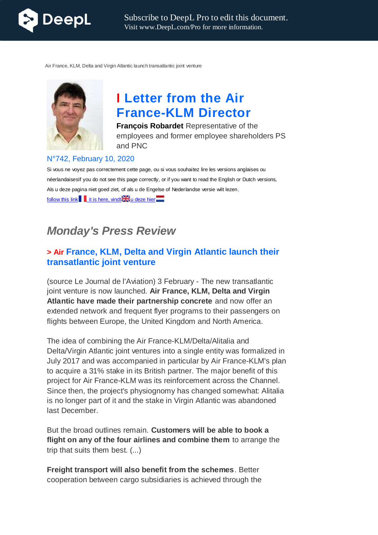

Air France, KLM, Delta and Virgin Atlantic launch transatlantic joint venture



# **I Letter from the Air France-KLM Director**

**François Robardet** Representative of the employees and former employee shareholders PS and PNC

#### N°742, February 10, 2020

Si vous ne voyez pas correctement cette page, ou si vous souhaitez lire les versions anglaises ou néerlandaisesIf you do not see this page correctly, or if you want to read the English or Dutch versions, Als u deze pagina niet goed ziet, of als u de Engelse of Nederlandse versie wilt lezen, follow this link  $\|\cdot\|$  it is here, vindt $\mathbb{R}$  u deze hier $\| \cdot \|$ 

## *Monday's Press Review*

## **> Air France, KLM, Delta and Virgin Atlantic launch their transatlantic joint venture**

(source Le Journal de l'Aviation) 3 February - The new transatlantic joint venture is now launched. **Air France, KLM, Delta and Virgin Atlantic have made their partnership concrete** and now offer an extended network and frequent flyer programs to their passengers on flights between Europe, the United Kingdom and North America.

The idea of combining the Air France-KLM/Delta/Alitalia and Delta/Virgin Atlantic joint ventures into a single entity was formalized in July 2017 and was accompanied in particular by Air France-KLM's plan to acquire a 31% stake in its British partner. The major benefit of this project for Air France-KLM was its reinforcement across the Channel. Since then, the project's physiognomy has changed somewhat: Alitalia is no longer part of it and the stake in Virgin Atlantic was abandoned last December.

But the broad outlines remain. **Customers will be able to book a flight on any of the four airlines and combine them** to arrange the trip that suits them best. (...)

**Freight transport will also benefit from the schemes**. Better cooperation between cargo subsidiaries is achieved through the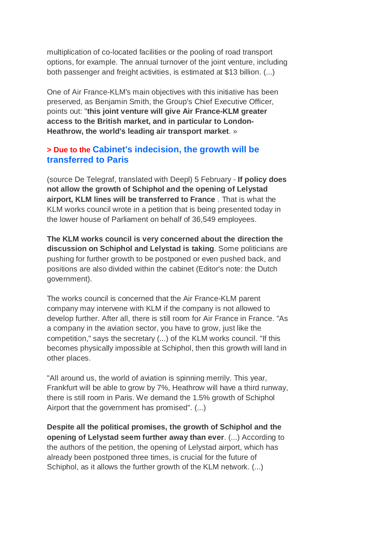multiplication of co-located facilities or the pooling of road transport options, for example. The annual turnover of the joint venture, including both passenger and freight activities, is estimated at \$13 billion. (...)

One of Air France-KLM's main objectives with this initiative has been preserved, as Benjamin Smith, the Group's Chief Executive Officer, points out: "**this joint venture will give Air France-KLM greater access to the British market, and in particular to London-Heathrow, the world's leading air transport market**. »

## **> Due to the Cabinet's indecision, the growth will be transferred to Paris**

(source De Telegraf, translated with Deepl) 5 February - **If policy does not allow the growth of Schiphol and the opening of Lelystad airport, KLM lines will be transferred to France** . That is what the KLM works council wrote in a petition that is being presented today in the lower house of Parliament on behalf of 36,549 employees.

**The KLM works council is very concerned about the direction the discussion on Schiphol and Lelystad is taking**. Some politicians are pushing for further growth to be postponed or even pushed back, and positions are also divided within the cabinet (Editor's note: the Dutch government).

The works council is concerned that the Air France-KLM parent company may intervene with KLM if the company is not allowed to develop further. After all, there is still room for Air France in France. "As a company in the aviation sector, you have to grow, just like the competition," says the secretary (...) of the KLM works council. "If this becomes physically impossible at Schiphol, then this growth will land in other places.

"All around us, the world of aviation is spinning merrily. This year, Frankfurt will be able to grow by 7%, Heathrow will have a third runway, there is still room in Paris. We demand the 1.5% growth of Schiphol Airport that the government has promised". (...)

**Despite all the political promises, the growth of Schiphol and the opening of Lelystad seem further away than ever**. (...) According to the authors of the petition, the opening of Lelystad airport, which has already been postponed three times, is crucial for the future of Schiphol, as it allows the further growth of the KLM network. (...)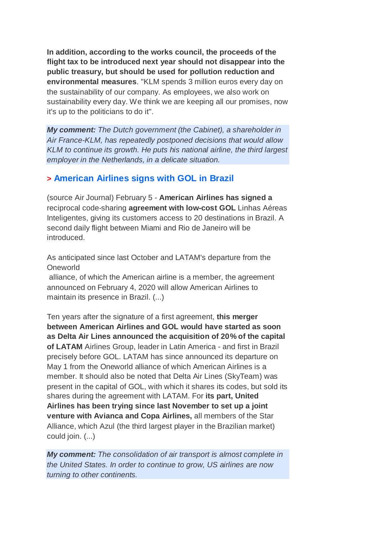**In addition, according to the works council, the proceeds of the flight tax to be introduced next year should not disappear into the public treasury, but should be used for pollution reduction and environmental measures**. "KLM spends 3 million euros every day on the sustainability of our company. As employees, we also work on sustainability every day. We think we are keeping all our promises, now it's up to the politicians to do it".

*My comment: The Dutch government (the Cabinet), a shareholder in Air France-KLM, has repeatedly postponed decisions that would allow KLM to continue its growth. He puts his national airline, the third largest employer in the Netherlands, in a delicate situation.*

### **> American Airlines signs with GOL in Brazil**

(source Air Journal) February 5 - **American Airlines has signed a** reciprocal code-sharing **agreement with low-cost GOL** Linhas Aéreas Inteligentes, giving its customers access to 20 destinations in Brazil. A second daily flight between Miami and Rio de Janeiro will be introduced.

As anticipated since last October and LATAM's departure from the Oneworld

alliance, of which the American airline is a member, the agreement announced on February 4, 2020 will allow American Airlines to maintain its presence in Brazil. (...)

Ten years after the signature of a first agreement, **this merger between American Airlines and GOL would have started as soon as Delta Air Lines announced the acquisition of 20% of the capital of LATAM** Airlines Group, leader in Latin America - and first in Brazil precisely before GOL. LATAM has since announced its departure on May 1 from the Oneworld alliance of which American Airlines is a member. It should also be noted that Delta Air Lines (SkyTeam) was present in the capital of GOL, with which it shares its codes, but sold its shares during the agreement with LATAM. For **its part, United Airlines has been trying since last November to set up a joint venture with Avianca and Copa Airlines,** all members of the Star Alliance, which Azul (the third largest player in the Brazilian market) could join. (...)

*My comment: The consolidation of air transport is almost complete in the United States. In order to continue to grow, US airlines are now turning to other continents.*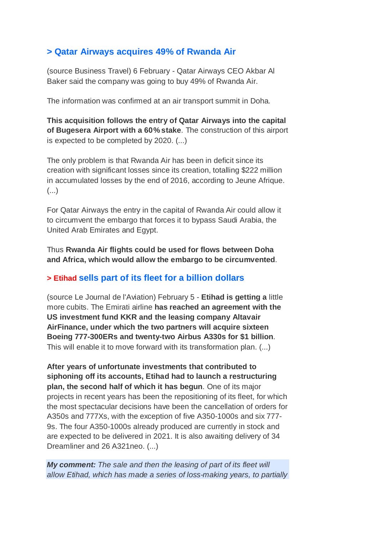## **> Qatar Airways acquires 49% of Rwanda Air**

(source Business Travel) 6 February - Qatar Airways CEO Akbar Al Baker said the company was going to buy 49% of Rwanda Air.

The information was confirmed at an air transport summit in Doha.

**This acquisition follows the entry of Qatar Airways into the capital of Bugesera Airport with a 60% stake**. The construction of this airport is expected to be completed by 2020. (...)

The only problem is that Rwanda Air has been in deficit since its creation with significant losses since its creation, totalling \$222 million in accumulated losses by the end of 2016, according to Jeune Afrique. (...)

For Qatar Airways the entry in the capital of Rwanda Air could allow it to circumvent the embargo that forces it to bypass Saudi Arabia, the United Arab Emirates and Egypt.

Thus **Rwanda Air flights could be used for flows between Doha and Africa, which would allow the embargo to be circumvented**.

### **> Etihad sells part of its fleet for a billion dollars**

(source Le Journal de l'Aviation) February 5 - **Etihad is getting a** little more cubits. The Emirati airline **has reached an agreement with the US investment fund KKR and the leasing company Altavair AirFinance, under which the two partners will acquire sixteen Boeing 777-300ERs and twenty-two Airbus A330s for \$1 billion**. This will enable it to move forward with its transformation plan. (...)

**After years of unfortunate investments that contributed to siphoning off its accounts, Etihad had to launch a restructuring plan, the second half of which it has begun**. One of its major projects in recent years has been the repositioning of its fleet, for which the most spectacular decisions have been the cancellation of orders for A350s and 777Xs, with the exception of five A350-1000s and six 777- 9s. The four A350-1000s already produced are currently in stock and are expected to be delivered in 2021. It is also awaiting delivery of 34 Dreamliner and 26 A321neo. (...)

*My comment: The sale and then the leasing of part of its fleet will allow Etihad, which has made a series of loss-making years, to partially*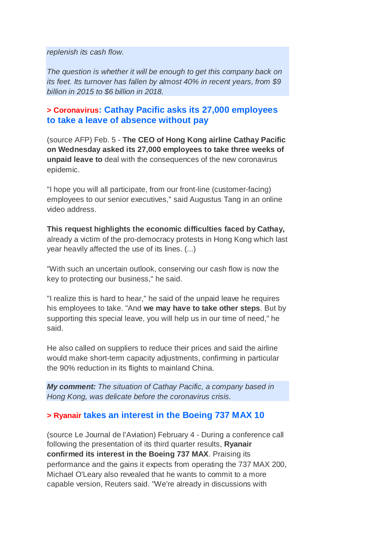*replenish its cash flow.*

*The question is whether it will be enough to get this company back on its feet. Its turnover has fallen by almost 40% in recent years, from \$9 billion in 2015 to \$6 billion in 2018.*

## **> Coronavirus: Cathay Pacific asks its 27,000 employees to take a leave of absence without pay**

(source AFP) Feb. 5 - **The CEO of Hong Kong airline Cathay Pacific on Wednesday asked its 27,000 employees to take three weeks of unpaid leave to** deal with the consequences of the new coronavirus epidemic.

"I hope you will all participate, from our front-line (customer-facing) employees to our senior executives," said Augustus Tang in an online video address.

#### **This request highlights the economic difficulties faced by Cathay,**

already a victim of the pro-democracy protests in Hong Kong which last year heavily affected the use of its lines. (...)

"With such an uncertain outlook, conserving our cash flow is now the key to protecting our business," he said.

"I realize this is hard to hear," he said of the unpaid leave he requires his employees to take. "And **we may have to take other steps**. But by supporting this special leave, you will help us in our time of need," he said.

He also called on suppliers to reduce their prices and said the airline would make short-term capacity adjustments, confirming in particular the 90% reduction in its flights to mainland China.

*My comment: The situation of Cathay Pacific, a company based in Hong Kong, was delicate before the coronavirus crisis.*

#### **> Ryanair takes an interest in the Boeing 737 MAX 10**

(source Le Journal de l'Aviation) February 4 - During a conference call following the presentation of its third quarter results, **Ryanair confirmed its interest in the Boeing 737 MAX**. Praising its performance and the gains it expects from operating the 737 MAX 200, Michael O'Leary also revealed that he wants to commit to a more capable version, Reuters said. "We're already in discussions with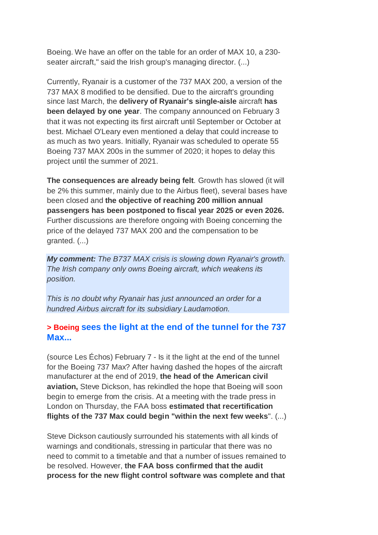Boeing. We have an offer on the table for an order of MAX 10, a 230 seater aircraft," said the Irish group's managing director. (...)

Currently, Ryanair is a customer of the 737 MAX 200, a version of the 737 MAX 8 modified to be densified. Due to the aircraft's grounding since last March, the **delivery of Ryanair's single-aisle** aircraft **has been delayed by one year**. The company announced on February 3 that it was not expecting its first aircraft until September or October at best. Michael O'Leary even mentioned a delay that could increase to as much as two years. Initially, Ryanair was scheduled to operate 55 Boeing 737 MAX 200s in the summer of 2020; it hopes to delay this project until the summer of 2021.

**The consequences are already being felt**. Growth has slowed (it will be 2% this summer, mainly due to the Airbus fleet), several bases have been closed and **the objective of reaching 200 million annual passengers has been postponed to fiscal year 2025 or even 2026.** Further discussions are therefore ongoing with Boeing concerning the price of the delayed 737 MAX 200 and the compensation to be granted. (...)

*My comment: The B737 MAX crisis is slowing down Ryanair's growth. The Irish company only owns Boeing aircraft, which weakens its position.*

*This is no doubt why Ryanair has just announced an order for a hundred Airbus aircraft for its subsidiary Laudamotion.*

## **> Boeing sees the light at the end of the tunnel for the 737 Max...**

(source Les Échos) February 7 - Is it the light at the end of the tunnel for the Boeing 737 Max? After having dashed the hopes of the aircraft manufacturer at the end of 2019, **the head of the American civil aviation,** Steve Dickson, has rekindled the hope that Boeing will soon begin to emerge from the crisis. At a meeting with the trade press in London on Thursday, the FAA boss **estimated that recertification flights of the 737 Max could begin "within the next few weeks**". (...)

Steve Dickson cautiously surrounded his statements with all kinds of warnings and conditionals, stressing in particular that there was no need to commit to a timetable and that a number of issues remained to be resolved. However, **the FAA boss confirmed that the audit process for the new flight control software was complete and that**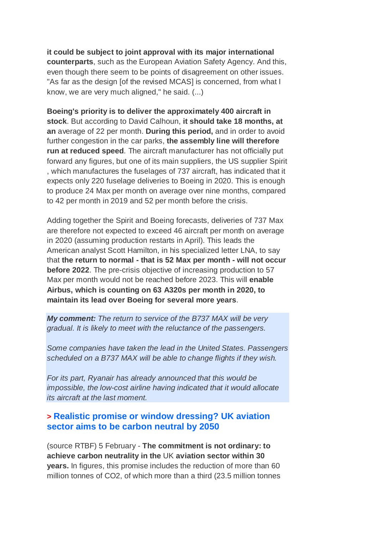**it could be subject to joint approval with its major international counterparts**, such as the European Aviation Safety Agency. And this, even though there seem to be points of disagreement on other issues. "As far as the design [of the revised MCAS] is concerned, from what I know, we are very much aligned," he said. (...)

**Boeing's priority is to deliver the approximately 400 aircraft in stock**. But according to David Calhoun, **it should take 18 months, at an** average of 22 per month. **During this period,** and in order to avoid further congestion in the car parks, **the assembly line will therefore run at reduced speed**. The aircraft manufacturer has not officially put forward any figures, but one of its main suppliers, the US supplier Spirit , which manufactures the fuselages of 737 aircraft, has indicated that it expects only 220 fuselage deliveries to Boeing in 2020. This is enough to produce 24 Max per month on average over nine months, compared to 42 per month in 2019 and 52 per month before the crisis.

Adding together the Spirit and Boeing forecasts, deliveries of 737 Max are therefore not expected to exceed 46 aircraft per month on average in 2020 (assuming production restarts in April). This leads the American analyst Scott Hamilton, in his specialized letter LNA, to say that **the return to normal - that is 52 Max per month - will not occur before 2022**. The pre-crisis objective of increasing production to 57 Max per month would not be reached before 2023. This will **enable Airbus, which is counting on 63 A320s per month in 2020, to maintain its lead over Boeing for several more years**.

*My comment: The return to service of the B737 MAX will be very gradual. It is likely to meet with the reluctance of the passengers.*

*Some companies have taken the lead in the United States. Passengers scheduled on a B737 MAX will be able to change flights if they wish.*

*For its part, Ryanair has already announced that this would be impossible, the low-cost airline having indicated that it would allocate its aircraft at the last moment.*

#### **> Realistic promise or window dressing? UK aviation sector aims to be carbon neutral by 2050**

(source RTBF) 5 February - **The commitment is not ordinary: to achieve carbon neutrality in the** UK **aviation sector within 30 years.** In figures, this promise includes the reduction of more than 60 million tonnes of CO2, of which more than a third (23.5 million tonnes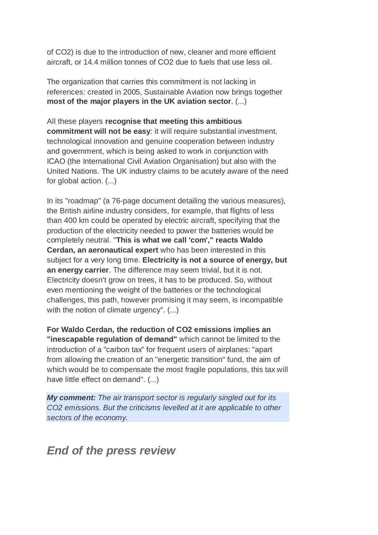of CO2) is due to the introduction of new, cleaner and more efficient aircraft, or 14.4 million tonnes of CO2 due to fuels that use less oil.

The organization that carries this commitment is not lacking in references: created in 2005, Sustainable Aviation now brings together **most of the major players in the UK aviation sector**. (...)

All these players **recognise that meeting this ambitious commitment will not be easy**: it will require substantial investment, technological innovation and genuine cooperation between industry and government, which is being asked to work in conjunction with ICAO (the International Civil Aviation Organisation) but also with the United Nations. The UK industry claims to be acutely aware of the need for global action. (...)

In its "roadmap" (a 76-page document detailing the various measures), the British airline industry considers, for example, that flights of less than 400 km could be operated by electric aircraft, specifying that the production of the electricity needed to power the batteries would be completely neutral. "**This is what we call 'com'," reacts Waldo Cerdan, an aeronautical expert** who has been interested in this subject for a very long time. **Electricity is not a source of energy, but an energy carrier**. The difference may seem trivial, but it is not. Electricity doesn't grow on trees, it has to be produced. So, without even mentioning the weight of the batteries or the technological challenges, this path, however promising it may seem, is incompatible with the notion of climate urgency". (...)

**For Waldo Cerdan, the reduction of CO2 emissions implies an "inescapable regulation of demand"** which cannot be limited to the introduction of a "carbon tax" for frequent users of airplanes: "apart from allowing the creation of an "energetic transition" fund, the aim of which would be to compensate the most fragile populations, this tax will have little effect on demand". (...)

*My comment: The air transport sector is regularly singled out for its CO2 emissions. But the criticisms levelled at it are applicable to other sectors of the economy.*

*End of the press review*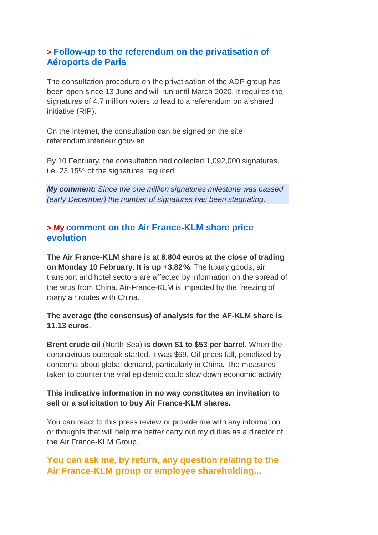## **> Follow-up to the referendum on the privatisation of Aéroports de Paris**

The consultation procedure on the privatisation of the ADP group has been open since 13 June and will run until March 2020. It requires the signatures of 4.7 million voters to lead to a referendum on a shared initiative (RIP).

On the Internet, the consultation can be signed on the site referendum.interieur.gouv en

By 10 February, the consultation had collected 1,092,000 signatures, i.e. 23.15% of the signatures required.

*My comment: Since the one million signatures milestone was passed (early December) the number of signatures has been stagnating.*

## **> My comment on the Air France-KLM share price evolution**

**The Air France-KLM share is at 8.804 euros at the close of trading on Monday 10 February. It is up +3.82%.** The luxury goods, air transport and hotel sectors are affected by information on the spread of the virus from China. Air-France-KLM is impacted by the freezing of many air routes with China.

**The average (the consensus) of analysts for the AF-KLM share is 11.13 euros**.

**Brent crude oil** (North Sea) **is down \$1 to \$53 per barrel.** When the coronaviruus outbreak started, it was \$69. Oil prices fall, penalized by concerns about global demand, particularly in China. The measures taken to counter the viral epidemic could slow down economic activity.

#### **This indicative information in no way constitutes an invitation to sell or a solicitation to buy Air France-KLM shares.**

You can react to this press review or provide me with any information or thoughts that will help me better carry out my duties as a director of the Air France-KLM Group.

## **You can ask me, by return, any question relating to the Air France-KLM group or employee shareholding...**